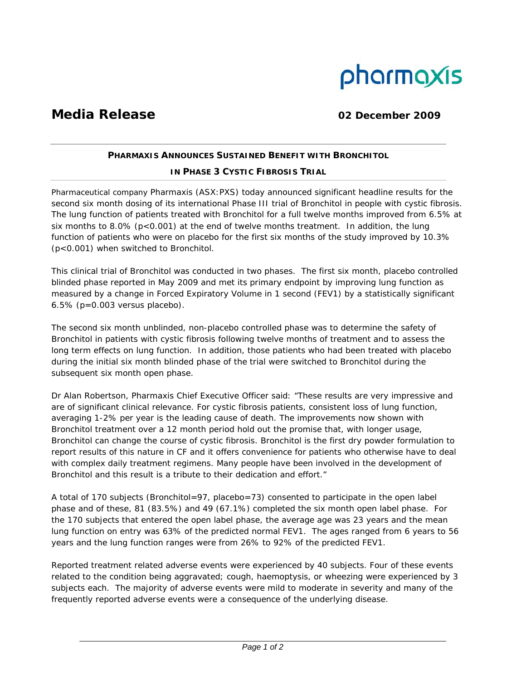

# **Media Release 02 December 2009**

# **PHARMAXIS ANNOUNCES SUSTAINED BENEFIT WITH BRONCHITOL**

## **IN PHASE 3 CYSTIC FIBROSIS TRIAL**

Pharmaceutical company Pharmaxis (ASX:PXS) today announced significant headline results for the second six month dosing of its international Phase III trial of Bronchitol in people with cystic fibrosis. The lung function of patients treated with Bronchitol for a full twelve months improved from 6.5% at six months to 8.0% ( $p < 0.001$ ) at the end of twelve months treatment. In addition, the lung function of patients who were on placebo for the first six months of the study improved by 10.3% (p<0.001) when switched to Bronchitol.

This clinical trial of Bronchitol was conducted in two phases. The first six month, placebo controlled blinded phase reported in May 2009 and met its primary endpoint by improving lung function as measured by a change in Forced Expiratory Volume in 1 second (FEV1) by a statistically significant 6.5% (p=0.003 versus placebo).

The second six month unblinded, non-placebo controlled phase was to determine the safety of Bronchitol in patients with cystic fibrosis following twelve months of treatment and to assess the long term effects on lung function. In addition, those patients who had been treated with placebo during the initial six month blinded phase of the trial were switched to Bronchitol during the subsequent six month open phase.

Dr Alan Robertson, Pharmaxis Chief Executive Officer said: "These results are very impressive and are of significant clinical relevance. For cystic fibrosis patients, consistent loss of lung function, averaging 1-2% per year is the leading cause of death. The improvements now shown with Bronchitol treatment over a 12 month period hold out the promise that, with longer usage, Bronchitol can change the course of cystic fibrosis. Bronchitol is the first dry powder formulation to report results of this nature in CF and it offers convenience for patients who otherwise have to deal with complex daily treatment regimens. Many people have been involved in the development of Bronchitol and this result is a tribute to their dedication and effort."

A total of 170 subjects (Bronchitol=97, placebo=73) consented to participate in the open label phase and of these, 81 (83.5%) and 49 (67.1%) completed the six month open label phase. For the 170 subjects that entered the open label phase, the average age was 23 years and the mean lung function on entry was 63% of the predicted normal FEV1. The ages ranged from 6 years to 56 years and the lung function ranges were from 26% to 92% of the predicted FEV1.

Reported treatment related adverse events were experienced by 40 subjects. Four of these events related to the condition being aggravated; cough, haemoptysis, or wheezing were experienced by 3 subjects each. The majority of adverse events were mild to moderate in severity and many of the frequently reported adverse events were a consequence of the underlying disease.